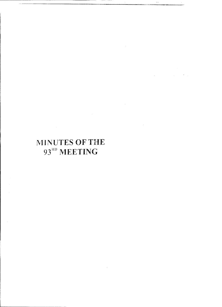# MINUTES OF THE 93<sup>RD</sup> MEETING

 $\mathcal{L}_{\text{max}}$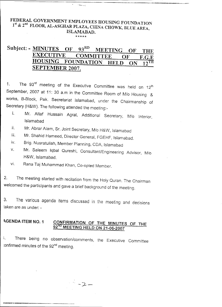## FEDERAL GOVERNMENT EMPLOYEES HOUSING FOUNDATION 1<sup>st</sup> & 2<sup>nd</sup> FLOOR, AL-ASGHAR PLAZA, CHINA CHOWK, BLUE AREA ISLAMABAD. \*\*\*\*\*

-.-.:

## Subject: - MINUTES OF  $93^{RD}$  MEETING OF THE<br>EXECUTIVE COMMITTEE OF FCF EXECUTIVE COMMITTEE OF F.G.E<br>HOUSING FOUNDATION HELD ON 12TH FOUNDATION HELD ON 12TH SEPTEMBER 2007.

1. The 93<sup>rd</sup> meeting of the Executive Committee was held on 12 September, 2007 at 11: 30 a.m in the Committee Room of *Mlo* Housing & works, B-Block, Pak. Secretariat Islamabad, under the Chairmanship of Secretary (H&W). The following attended the meeting:-

- i. Mr. Altaf Hussain Agral, Additional Secretary, *Mlo* Interior, Islamabad
- ii. Mr. Abrar Alam, Sr. Joint Secretary, M/o H&W, Islamabad
- iii. Mr. Shahid Hameed, Director General, FGEHF, Islamabad.
- iv. Brig. Nusratullah, Member Planning, CDA, Islamabad
- v. Mr. Saleem Iqbal Qureshi, Consultant/Engineering Advisor, M/o H&W, Islamabad.
- vi. Rana Taj Muhammad Khan, Co-opted Member.

2. The meeting started with recitation from the Holy Quran. The Chairman welcomed the participants and gave a brief background of the meeting.

3. The various agenda items discussed in the meeting and decisions taken are as under: -

## AGENDA ITEM NO.1 CONFIRMATION OF THE MINUTES OF THE 92<sup>ND</sup> MEETING HELD ON 21-06-2007

f. There being no observation/comments, the Executive Committee confirmed minutes of the 92<sup>nd</sup> meeting.

 $\frac{1}{2}$  -2 -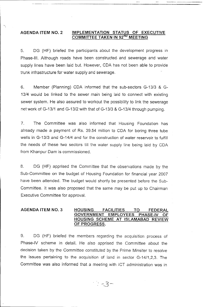## **AGENDA ITEM NO.2 IMPLEMENTATION STATUS OF EXECUTIVE COMMITTEE TAKEN IN 92ND MEETING**

5. OG (HF) briefed the participants about the development progress in Phase-III. Although roads have been constructed. and sewerage and water supply lines have been laid but. However, COA has not been able to provide trunk infrastructure for water supply and sewerage.

6. Member (Planning) COA informed that the sub-sectors G-13/3 & G-13/4 would be linked to the sewer main being laid to connect with existing sewer system. He also assured to workout the possibility to link the sewerage net work of G-13/1 and G-13/2 with that of G-13/3 & G-13/4 through pumping.

7. The Committee was also informed that Housing Foundation has already made a payment of Rs. 39.54 million to COA for boring three tube wells in G-13/3 and G-14/4 and for the construction of water reservoir to fulfill the needs of these two sectors till the water supply line being laid by COA from Khanpur Dam is commissioned.

8. DG (HF) apprised the Committee that the observations made by the Sub-Committee on the budget of Housing Foundation for financial year 2007 have been attended. The budget would shortly be presented before the Sub-Committee. It was also proposed that the same may be put up to Chairman Executive Committee for approval.

#### **AGENDA ITEM NO.3 HOUSING FACILITIES TO FEDERAL GOVERNMENT EMPLOYEES PHASE-IV HOUSING SCHEME AT ISLAMABAD REVIEW OF PROGRESS.**

9. DG (HF) briefed the members regarding the acquisition process of Phase-IV scheme in detail. He also apprised the Committee about the decision taken by the Committee constituted by the Prime Minsiter to resolve the issues pertaining to the acquisition of land in sector G-14/1,2,3. The Committee was also informed that a meeting with ICT administration was in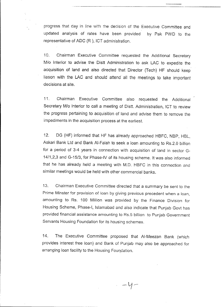progress that day in line with the decision of the Executive Committee and updated analysis of rates have been provided by Pak PWD to the representative of ADC (R ), ICT administration.

10. Chairman Executive Committee requested the Additional Secretary *Mlo* Interior to advise the Distt Administration to ask LAC to expedite the acquisition of land and also directed that Director (Tech) **HF** should keep liason with the LAC and should attend all the meetings to take important decisions at site.

11. Chairman Executive Committee also requested the Additional Secretary *Mlo* Interior to call a meeting of Distt. Administration, ICT to review the progress pertaining to acquisition of land and advise them to remove the impediments in the acquisition process at the earliest.

12. DG (HF) informed that HF has already approached HBFC, NBP, HBL, Askari Bank Ltd and Bank AI-Falah to seek a loan amounting to RS.2.0 billion for a period of 3-4 years in connection with acquisition of land in sector G-*14/1,2,3* and *G-15/3,* for Phase-IV of its housing scheme. It was also informed that he has already held a meeting with M.D. HBFC in this connection and similar meetings would be held with other commercial banks.

13. Chairman Executive Committee directed that a summary be sent to the Prime Minster for provision of loan by giving previous precedent when a loan, amounting to Rs. 100 Million was provided by the Finance Division for Housing Scheme, Phase-I, Islamabad and also indicate that Punjab Govt has provided financial assistance amounting to RS.5 billion to Punjab Government Servants Housing Foundation for its housing schemes.

14. The Executive Committee proposed that AI-Meezan Bank (which provides interest free loan) and Bank of Punjab may also be approached for arranging loan facility to the Housing Foundation.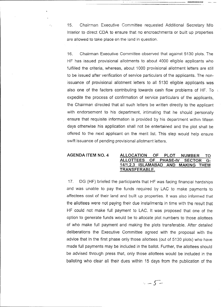15. Chairman Executive Committee requested Additional Secretary *Mlo* Interior to direct COA to ensure that no encroachments or built up properties are allowed to take place on the land in question.

------------\_ ...\_====--=-'

16. Chairman Executive Committee observed that against 5130 plots. The HF has issued provisional allotments to about 4000 eligible applicants who fulfilled the criteria, whereas, about 1000 provisional allotment letters are still to be issued after verification of service particulars of the applicants. The nonissuance of provisional allotment letters to all 5130 eligible applicants was also one of the factors contributing towards cash flow problems of HF. To expedite the process of confirmation of service particulars of the applicants, the Chairman directed that all such letters be written directly to the applicant with endorsement to his department, intimating that he should personally ensure that requisite information is provided by his department within fifteen days otherwise his application shall not be entertained and the plot shall be offered to the next applicant on the merit list. This step would help ensure swift issuance of pending provisional allotment letters.

 $\mathcal{O}_1$ 

#### AGENDA ITEM NO.4 ALLOCATION OF PLOT NUMBER TO ALLOTIEES OF PHASE-IV SECTOR G-*14/1,2,3* ISLAMABAD AND MAKING THEM TRANSFERABLE.

17. OG (HF) briefed the participants that HF was facing financial hardships and was unable to pay the funds required by LAC to make payments to affectees cost of their land and built up properties. It was also informed that the allottees were not paying their due installments in time with the result that HF could not make full payment to LAC. It was proposed that one of the option to generate funds would be to allocate plot numbers to those allottees of who make full payment and making the plots transferable. After detailed deliberations the Executive Committee agreed with the proposal with the advice that in the first phase only those allottees (out of 5130 plots) who have made full payments may be included in the ballot. Further, the allottees should be advised through press that, only those allottees would be included in the balloting who clear all their dues within 15 days from the publication of the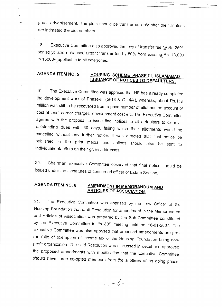press advertisement. The plots should be transferred only after their allotees are intimated the plot numbers.

-----------"--"--- --- - ~d , • \_

18. Executive Committee also approved the levy of transfer *fee* @ *Rs-250i*per sq yd and enhanced urgent transfer fee by 50% from existing, Rs. 10,000 to 15000/-, applicable to all categories.

## **AGENDA ITEM NO.5 HOUSING SCHEME PHASE-III, ISLAMABAD \_ ISSUANCE OF NOTICES TO DEFAULTERS.**

19. The Executive Committee was apprised that HF has already completed the development work of Phase-III (G-13 & G-14/4), whereas, about Rs.119 million was still to be recovered from a good number of allottees on account of cost of land, corner charges, development cost etc. The Executive Committee agreed with the proposal to issue final notices to all defaulters to clear all outstanding dues with 30 days, failing which their allotments would be cancelled without any further notice. It was directed that final notice be published in the print media and notices should also be sent to individual/defaulters on their given addresses.

20. Chairman Executive Committee observed that final notice should be \ issued under the signatures of concerned officer of Estate Section.

## **AGENDA** ITEM NO. **6 AMENDMENT IN MEMORANDUM AND ARTICLES OF ASSOCIATION.**

21. The Executive Committee was apprised by the Law Officer of the Housing Foundation that draft Resolution for amendment in the Memorandum and Articles of Association was prepared by the Sub-Committee constituted by the Executive Committee in its 89<sup>th</sup> meeting held on 16-01-2007. The Executive Committee was also apprised that proposed amendments are prerequisite of exemption of income tax of the Housing Foundation being nonprofit organization. The said Resolution was discussed in detail and approved the proposed amendments with modification that the Executive Committee should have three co-opted members from the allottees of on going phase

 $-6-$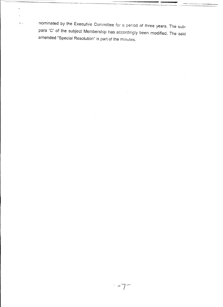nominated by the Executive Committee for a period of three years. The subpara 'C' of the subject Membership has accordingly been modified. The said amended "Special Resolution" is part of the minutes.

 $\sigma_{\rm{max}}$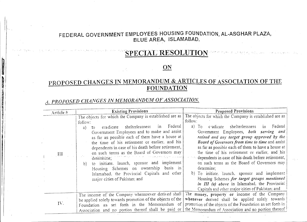## FEDERAL GOVERNMENT EMPLOYEES HOUSING FOUNDATION, AL-ASGHAR PLAZA, BLUE AREA, ISLAMABAD. .

## SPECIAL RESOLUTION

~.". \ ~..

## ON

## PROPOSED CHANGES IN MEMORANDUM & ARTICLES OF ASSOCIATION OF THE FOUNDATION

## *A. PROPOSED CHAl'lGES iN MEMORANDUM OF ASSOCIATION.*

I I,

**international** 

**IN ANTIQUES EN L'AUTEURE DE L'AUTEURE DE L'AUTEURE DE L'AUTEURE DE L'AUTEURE DE L'AUTEURE DE L'AUTEURE DE L'AU** 

**INTERNATIONAL PROPERTY AND INCOME.** 

**FALLING TRANSFORMATION** 

 $\mathcal{A}% _{0}\left( t\right) \equiv\mathcal{A}_{\mathcal{A}}\left( t\right) \equiv\mathcal{A}_{\mathcal{A}}\left( t\right) \equiv\mathcal{A}_{\mathcal{A}}\left( t\right) \equiv\mathcal{A}_{\mathcal{A}}\left( t\right) \equiv\mathcal{A}_{\mathcal{A}}\left( t\right) \equiv\mathcal{A}_{\mathcal{A}}\left( t\right) \equiv\mathcal{A}_{\mathcal{A}}\left( t\right) \equiv\mathcal{A}_{\mathcal{A}}\left( t\right) \equiv\mathcal{A}_{\mathcal{A}}\left( t\right) \equiv\mathcal{A}_{\mathcal{A}}\$ ~ ~ ~ ~ ~;;.;

I

I

| Article $\#$ | <b>Existing Provisions</b>                                                                                                                                                                                                                                                                                                                                                                                                                                                                                                                                                                                                | <b>Proposed Provisions</b>                                                                                                                                                                                                                                                                                                                                                                                                                                                                                                                                                                                                                                                                                                   |  |
|--------------|---------------------------------------------------------------------------------------------------------------------------------------------------------------------------------------------------------------------------------------------------------------------------------------------------------------------------------------------------------------------------------------------------------------------------------------------------------------------------------------------------------------------------------------------------------------------------------------------------------------------------|------------------------------------------------------------------------------------------------------------------------------------------------------------------------------------------------------------------------------------------------------------------------------------------------------------------------------------------------------------------------------------------------------------------------------------------------------------------------------------------------------------------------------------------------------------------------------------------------------------------------------------------------------------------------------------------------------------------------------|--|
| Ш            | The objects for which the Company is established are as<br>follow:<br>Federal<br>eradicate shelterlessness<br>in<br>$\tau_{\Omega}$<br>a)<br>Government Employees and to make and assist<br>as far as possible each of them have a house at<br>the time of his retirement or earlier, and his<br>dependents in case of his death before retirement,<br>on such terms as the Board of Governors may<br>العصمر والمرادف وأحاداج<br>determine;<br>to initiate. launch, sponsor and implement<br>b)<br>Housing Schemes on ownership basis in<br>Islamabad, the Provincial Capitals and other<br>major cities of Pakistan: and | The objects for which the Company is established are as<br>follow:<br>cradicate shelterlessness<br>Federal<br>a) $TO$<br>$\overline{\text{in}}$<br>Government Employees, both serving and<br>retired and any target group approved by the<br>Board of Governors from time to time and assist<br>as far as possible each of them to have a house at<br>the time of his retirement or earlier, and his<br>dependents in case of his death before retirement,<br>on such terms as the Board of Governors may<br>determine:<br>b) To initiate, launch, sponsor and implement<br>Housing Schemes for target groups mentioned<br>in III (a) above in Islamabad, the Provincial<br>Capitals and other major cities of Pakistan: and |  |
| IV.          | The income of the Company whensoever derived shall<br>be applied solely towards promotion of the objects of the<br>Foundation as set forth in the Memorandum of<br>Association and no portion thereof shall be paid or                                                                                                                                                                                                                                                                                                                                                                                                    | The money, property or income of the Company<br>whenever derived shall be applied solely towards<br>promotion of the objects of the Foundation as set forth in<br>the Memorandum of Association and no portion thereof                                                                                                                                                                                                                                                                                                                                                                                                                                                                                                       |  |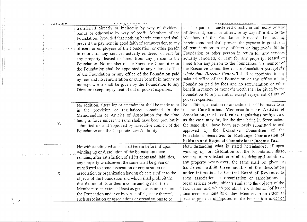| ATUCICH | LADSING A LUTIONUMO                                           |                                                               |  |
|---------|---------------------------------------------------------------|---------------------------------------------------------------|--|
|         | transferred directly or indirectly by way of dividend,        | shall be paid or transferred directly or indirectly by way    |  |
|         | bonus or otherwise by way of profit, Members of the           | of dividend, bonus or otherwise by way of profit, to the      |  |
|         | Foundation. Provided that nothing herein contained shall      | Members of the Foundation. Provided that nothing              |  |
|         | prevent the payment in good faith of remuneration to any      | herein contained shall prevent the payment in good faith      |  |
|         | officers or employees of the Foundation or other person       | of remuneration to any officers or employees of the           |  |
|         | in return for any services actually rendered, or rent for     | Foundation or other person in return for any services         |  |
|         | any property, leased or hired from any person to the          | actually rendered, or rent for any property, leased or        |  |
|         | Foundation. No member of the Executive Committee or           | hired from any person to the Foundation. No member of         |  |
|         | the Foundation shall be appointed to any salaried office      | the Executive Committee or the Foundation (except the         |  |
|         | of the Foundation or any office of the Foundation paid        | whole time Director General) shall be appointed to any        |  |
|         | by fees and no remuneration or other benefit in money or      | salaried office of the Foundation or any office of the        |  |
|         | moneys worth shall be given by the Foundation to any          | Foundation paid by fees and no remuneration or other          |  |
|         | Director except repayment of out of pocket expenses.          | benefit in money or money's worth shall be given by the       |  |
|         |                                                               | Foundation to any member except repayment of out of           |  |
|         |                                                               | pocket expenses.                                              |  |
|         | No addition, alteration or amendment shall be made to or      | No addition, alteration or amendment shall be made to or      |  |
|         | in the provision or regulations contained in the              | in the Constitution, Memorandum or Articles of                |  |
|         | Memorandum or Articles of Association for the time            | Association, trust deed, rules, regulations or byelaws,       |  |
|         | being in force unless the same shall have been previously     | as the case may be, for the time being in force unless        |  |
| V.      | submitted to, and approved by Executive council of the        | the same shall have been previously submitted to and          |  |
|         | Foundation and the Corporate Law Authority.                   | approved by the Executive Committee of the                    |  |
|         |                                                               | Foundation. Securities & Exchange Commission of               |  |
|         |                                                               | Pakistan and Regional Commissioner Income Tax                 |  |
|         | Notwithstanding what is stated herein before, if upon         | Notwithstanding what is stated hereinbefore, if upon          |  |
|         |                                                               | winding up or dissolution of the Foundation there             |  |
|         | winding up or dissolution of the Foundation there.            | remains, after satisfaction of all its debts and liabilities. |  |
|         | remains, after satisfaction of all its debts and liabilities, |                                                               |  |
|         | any property whatsoever, the same shall be given or           | any property whatsoever, the same shall be given or           |  |
|         | transferred to some association or organization or            | transferred, within three months of the dissolution           |  |
| X.      | association or organization having objects similar to the     | under intimation to Central Board of Revenue, to              |  |
|         | objects of the Foundation and which shall prohibit the        | some association or organization or associations or           |  |
|         | distribution of its or their income among its or their        | organizations having objects similar to the objects of the    |  |
|         | Members to an extent at least as great as is imposed on       | Foundation and which prohibit the distribution of its or      |  |
|         | the Foundation under or by virtue of clause iv thereof,       | their income among its or their Members to an extent at       |  |
|         | such association or associations or organizations to be       | least as great as is imposed on the Foundation under or       |  |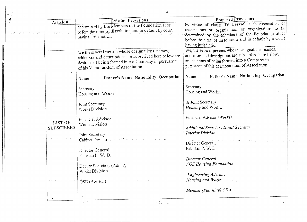| Article #                                       | <b>Existing Provisions</b>                                                                                                                                                                                | Proposed Provisions                                                                                                                                                                                                                                |
|-------------------------------------------------|-----------------------------------------------------------------------------------------------------------------------------------------------------------------------------------------------------------|----------------------------------------------------------------------------------------------------------------------------------------------------------------------------------------------------------------------------------------------------|
| a mang-terson benefits a participate of the dec | determined by the Members of the Foundation at or<br>before the time of dissolution and in default by court<br>having jurisdiction.                                                                       | by virtue of clause IV hereof; such association or<br>associations or organization or organizations to be<br>determined by the Members of the Foundation at or<br>before the time of dissolution and in default by a Ceurt<br>having jurisdiction. |
|                                                 | We the several person whose designations, names,<br>addresses and descriptions are subscribed here below are<br>desirous of being formed into a Company in pursuance<br>of his Memorandum of Association. | We, the several persons whose designations, names.<br>addresses and descriptions are subscribed here below.<br>are desirous of being formed into a Company in<br>pursuance of this Memorandum of Association.                                      |
|                                                 | Father's Name Nationality Occupation<br>Name                                                                                                                                                              | 'Father's Name Nationality Occupation<br>Name                                                                                                                                                                                                      |
|                                                 | Secretary<br>Housing and Works.                                                                                                                                                                           | Secretary<br>Housing and Works.                                                                                                                                                                                                                    |
|                                                 | Joint Secretary<br>Works Division.                                                                                                                                                                        | Sr.Joint Secretary<br><i>Housing</i> and Works.                                                                                                                                                                                                    |
| LIST OF<br><b>SUBSCIBERS</b>                    | Financial Advisor,<br>Works Division.                                                                                                                                                                     | Financial Advisor (Works).<br><b>Additional Secretary /Joint Secretary</b>                                                                                                                                                                         |
|                                                 | Joint Secretary                                                                                                                                                                                           | Interior Division.                                                                                                                                                                                                                                 |
|                                                 | Cabinet Division.<br>Director General,                                                                                                                                                                    | Director General,<br>Pakistan P. W. D.                                                                                                                                                                                                             |
|                                                 | Pakistan P. W. D.                                                                                                                                                                                         | Director General                                                                                                                                                                                                                                   |
|                                                 | Deputy Secretary (Admn),<br>Works Division.                                                                                                                                                               | <b>FGE Housing Foundation.</b>                                                                                                                                                                                                                     |
|                                                 | OSD(P & EC)                                                                                                                                                                                               | Engineering Advisor,<br>Housing and Works.                                                                                                                                                                                                         |
|                                                 |                                                                                                                                                                                                           | Member (Planning) CDA.                                                                                                                                                                                                                             |

!<br>!<br>!

I I I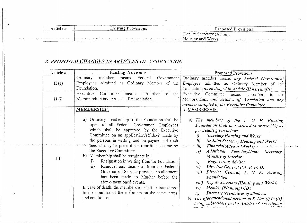4

| Article# | <b>Existing Provisions</b> | <b>Proposed Provisions</b>                                                                                                         |
|----------|----------------------------|------------------------------------------------------------------------------------------------------------------------------------|
|          |                            | Deputy Secretary (Admn).                                                                                                           |
|          |                            | , we also a consequently a minimal transformation in the sequence of $\mu$ Housing and Works. And the consequence specifically for |

## *B. PROPOSED CHANGES IN ARTICLES OF ASSOCIATION*

*;':1.'*

 $\alpha_1,\alpha_2\in\mathbb{N}$ 

| Article # | <b>Existing Provisions</b>                                                                                                                                                                                                                                                                                                                                                                                                                                                                                                                                                                                                                                                                                                                        | Proposed Provisions                                                                                                                                                                                                                                                                                                                                                                                                                                                                                                                                                                                                                                                                                                                          |
|-----------|---------------------------------------------------------------------------------------------------------------------------------------------------------------------------------------------------------------------------------------------------------------------------------------------------------------------------------------------------------------------------------------------------------------------------------------------------------------------------------------------------------------------------------------------------------------------------------------------------------------------------------------------------------------------------------------------------------------------------------------------------|----------------------------------------------------------------------------------------------------------------------------------------------------------------------------------------------------------------------------------------------------------------------------------------------------------------------------------------------------------------------------------------------------------------------------------------------------------------------------------------------------------------------------------------------------------------------------------------------------------------------------------------------------------------------------------------------------------------------------------------------|
| II(e)     | Ordinary<br>member<br>Federal<br>means<br>Government  <br>Employees admitted as Ordinary Member of the<br>Foundation.                                                                                                                                                                                                                                                                                                                                                                                                                                                                                                                                                                                                                             | Ordinary member means any Federal Government<br>Employee admitted as Ordinary Member of the<br>Foundation as envisaged in Article III hereinafter.                                                                                                                                                                                                                                                                                                                                                                                                                                                                                                                                                                                           |
| II(i)     | Committee<br>Executive<br>subscriber<br>the<br>means<br>to<br>Memorandum and Articles of Association.                                                                                                                                                                                                                                                                                                                                                                                                                                                                                                                                                                                                                                             | Executive Committee means subscribers to<br>the<br>Memorandum and Articles of Association and any<br>member co-opted by the Executive Committee.                                                                                                                                                                                                                                                                                                                                                                                                                                                                                                                                                                                             |
| III       | MEMBERSHIP.<br>Ordinary membership of the Foundation shall be<br>a)<br>open to all Federal Government Employees<br>which shall be approved by the Executive<br>Committee on an application/affidavit made by<br>the persons in writing and on payment of such<br>fees as may be prescribed from time to time by<br>the Executive Committee.<br>b) Membership shall be terminate by:<br>Resignation in writing from the Foundation<br>i)<br>Removal and dismissal from the Federal<br>$\overline{ii}$<br>Government Service provided so allotment<br>has been made to him/her before the<br>above-mentioned events.<br>In case of death, the membership shall be transferred<br>to the nominee of the members on the same terms<br>and conditions. | A. MEMBERSHIP.<br>The members of the F. G. E. Housing<br>a)<br>Foundation shall be restricted to twelve (12) as<br>per details given below:<br>Secretary Housing and Works<br>i<br>Sr.Joint Secretary Housing and Works<br>ii)<br>iii)<br>Financial Advisor (Works)<br>Additional Secretary/Joint<br>iv)<br>Secretary,<br>Ministry of Interior<br>Engineering Advisor<br>$\nu$<br>Directror General Pak. P. W. D.<br>vi)<br>vii)<br>Director General, F. G. E. Housing<br>Foundation<br>viii) Deputy Secretary (Housing and Works)<br>Member (Planning) CDA<br>$i\mathbf{x}$ )<br>Three representatives of allottees.<br>x)<br>The aforementioned persons at S. No: (i) to $(ix)$<br>(b)<br>being subscribers to the Articles of Association |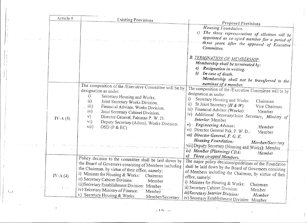| Article #                                       | <b>Existing Provisions</b>                                                                                                                                                                                                                                                                                                                                                                                                                                                                                                                                |                                                                                                                                                                                                                                                                                                                                                                                                                                                                                                                                                                                                                                                      |
|-------------------------------------------------|-----------------------------------------------------------------------------------------------------------------------------------------------------------------------------------------------------------------------------------------------------------------------------------------------------------------------------------------------------------------------------------------------------------------------------------------------------------------------------------------------------------------------------------------------------------|------------------------------------------------------------------------------------------------------------------------------------------------------------------------------------------------------------------------------------------------------------------------------------------------------------------------------------------------------------------------------------------------------------------------------------------------------------------------------------------------------------------------------------------------------------------------------------------------------------------------------------------------------|
|                                                 |                                                                                                                                                                                                                                                                                                                                                                                                                                                                                                                                                           | Proposed Provisions<br>Housing Foundation.<br>$\mathcal{C}$<br>The three representatives of allottees will be<br>appointed as co-opted member for a period of<br>"three years after the approval of Executive"<br>Committee.                                                                                                                                                                                                                                                                                                                                                                                                                         |
|                                                 |                                                                                                                                                                                                                                                                                                                                                                                                                                                                                                                                                           | <b>B. TERMINATION OF MEMBERSHIP.</b><br>Membership shall be terminated by:<br>Resignation in writing.<br>a)<br>b)<br>In case of death.<br>Membership shall not be transferred to the                                                                                                                                                                                                                                                                                                                                                                                                                                                                 |
| $IV-A(3)$                                       | The composition of the /Executive Committee will be by<br>designation as under:<br><sup>1</sup><br>Secretary Housing and Works.<br>$\overline{ii}$<br>Joint Secretary Works Division.<br>$\overline{\text{iii}}$<br>Financial Advisor, Works Division.<br>iv)<br>Joint Secretary Cabinet Division.<br>$\mathbf{v})$<br>Director General, Pakistan P. W. D.<br>$\rm{vi})$<br>Deputy Secretary (Admn), Works Division.<br>$\overline{\text{vii}}$<br>OSD (P & EC)<br>والمعلوم والمتعرفة فيعرفه والمستعرض والمتعارف والمتعارف فالمتحارث والمتعارفة والمستعار | nominee of a member.<br>The composition of the <i>Executive</i> Committee will be by<br>designation as under:<br>i)<br>Secretary Housing and Works:<br>Chairman<br>Sr.Joint Secretary ( $H \& W$ ):<br>$\left  \mathbf{u} \right\rangle$<br>Vice Chairman<br>Financial Advisor (Works):<br>$\{111\}$<br>Member<br>iv)<br>Additional Secretary/Joint Secretary, Ministry of<br>Interior: Member<br>$\mathbf{v})$<br>Engineering Advisor:<br>Member<br>Director General Pak. P. W. D.:<br>$\mathbf{vi})$<br>Member<br>vii) Director General, F. G. E.<br>Housing Foundation:<br>Member/Secretary<br>viii) Deputy Secretary (Housing and Works): Member |
| IV-A $(4)$<br>$\mathcal{L} \subset \mathcal{I}$ | Policy decision to the committee shall be laid down by<br>the Board of Governors consisting of Members including<br>the Chairman, by virtue of their office, namely:<br>i) Minister for Housing & Works: Chairman<br>ii) Secretary Cabinet Division:<br>Member<br>iii)Secretary Establishment Division:<br>Member<br>iv) Secretary Ministry of Finance:<br>Member<br>v) Secretary Housing & Works:<br>Member/Secretary                                                                                                                                    | ix) Member (Planning) CDA:<br>Member<br>Three co-opted Members.<br>$\chi$<br>The major policy decisions/guidelines of the Foundation<br>shall be laid down by the Board of Governors consisting<br>of Members including the Chairman, by virtue of their<br>office, namely:<br>i) Minister for Housing & Works:<br>Chairman<br>ii) Secretary Cabinet Division:<br>Member<br>iii)Secretary Interior Division:<br>Member<br>iv) Secretary Establishment Division: Member                                                                                                                                                                               |

 $-1.5$   $-$ 

*\~J*

I !  $\mathbf{I}$ I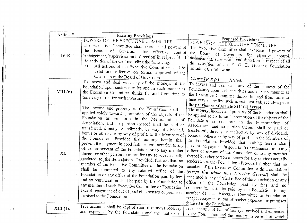| Article # | <b>Existing Provisions</b>                                  |                                                                                                      |
|-----------|-------------------------------------------------------------|------------------------------------------------------------------------------------------------------|
|           | POWERS OF THE EXECUTIVE COMMITTEE.                          | Proposed Provisions                                                                                  |
|           | The Executive Committee shall exercise all powers of        | POWERS OF THE EXECUTIVE COMMITTEE.                                                                   |
|           | the<br>Board of Governors for effective control             | The Executive Committee shall exercise all powers of                                                 |
| $IV-B$    | management, supervision and direction in respect of all     | the Board of Governors for effective control,                                                        |
|           | the activities of the Cell including the following:         | management, supervision and direction in respect of all                                              |
|           | a)<br>All actions of the Executive Committee shall be       | the activities of the F. G. E. Housing Foundation                                                    |
|           |                                                             | including the following:                                                                             |
|           | valid and effective on formal approval of the               |                                                                                                      |
|           | Chairman of the Board of Governors.                         | Clause $I\mathcal{V}\text{-}B$ (a)<br>deleted.                                                       |
|           | To invest and deal with any of the moneys of the            | To invest and deal with any of the moneys of the                                                     |
|           | Foundation upon such securities and in such manner as       | Foundation upon such securities and in such manner as                                                |
| VIII(n)   | the Executive Committee thinks fit, and from time to        | the Executive Committee thinks fit, and from time to                                                 |
|           | time vary of realize such investment.                       |                                                                                                      |
|           |                                                             | time vary or realize such investment subject always to<br>the provisions of Article XIII (4) hereof. |
|           | The income and property of the Foundation shall be          |                                                                                                      |
|           | applied solely towards promotion of the objects of the      | The money, income and property of the Foundation shall                                               |
|           | Foundation as set forth in the Memorandum of                | be applied solely towards promotion of the objects of the                                            |
|           | Association, and no portion thereof shall be paid or        | Foundation as set forth in the Memorandum of                                                         |
|           | transferred, directly or indirectly, by way of dividend,    | Association, and no portion thereof shall be paid or                                                 |
|           | bonus or otherwise by way of profit, to the Members of      | transferred, directly or indirectly, by way of dividend,                                             |
|           | the Foundation. Provided that nothing herein shall          | bonus or otherwise by way of profit, to the Members of                                               |
|           | prevent the payment in good faith or remuneration to any    | the Foundation. Provided that nothing herein shall                                                   |
|           | officer or servant of the Foundation or to any member       | prevent the payment in good faith or remuneration to any                                             |
| XI.       | thereof or other person in return for any services actually | officer or servant of the Foundation or to any member                                                |
|           | rendered, to the Foundation. Provided further that no       | thereof or other person in return for any services actually                                          |
|           | member of the Executive Committee or the Foundation         | rendered to the Foundation. Provided further that no                                                 |
|           | shall be appointed to any salaried office of the            | member of the Executive Committee or the Foundation                                                  |
|           | Foundation or any office of the Foundation paid by fees     | (except the whole time Director General) shall be                                                    |
|           |                                                             | appointed to any salaried office of the Foundation or any                                            |
|           | and no remuneration shall be paid by the Foundation to      | office of the Foundation paid by fees and no                                                         |
|           | any member of such Executive Committee or Foundation        | remuneration shall be paid by the Foundation to any                                                  |
|           | except repayment of out of pocket expenses or premises      | member of such Executive Committee or Foundation                                                     |
|           | demised to the Foundation.                                  | except repayment of out of pocket expenses or premises                                               |
|           |                                                             | demised to the Foundation.                                                                           |
| XIII(1).  | True accounts shall be kept of sum of moneys received       | True accounts of sum of moneys received and expended                                                 |
|           | and expended by the Foundation and the matters in           | by the Foundation and the matters in respect of which                                                |
|           |                                                             |                                                                                                      |

i

н. , Ii  $\vert \vert$ 

> I I

I I <sup>i</sup> I I  $\vert \hspace{0.1cm} \vert$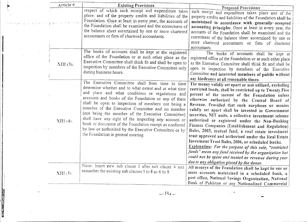| Article          | <b>Existing Provisions</b>                                                                                                                                                                                                                                                                                                                                                                                                                                                                                                                                                                          |                                                                                                                                                                                                                                                                                                                                                                                                                                                                                                                                                                                                                                                                                                                                                                                                                                                                                         |
|------------------|-----------------------------------------------------------------------------------------------------------------------------------------------------------------------------------------------------------------------------------------------------------------------------------------------------------------------------------------------------------------------------------------------------------------------------------------------------------------------------------------------------------------------------------------------------------------------------------------------------|-----------------------------------------------------------------------------------------------------------------------------------------------------------------------------------------------------------------------------------------------------------------------------------------------------------------------------------------------------------------------------------------------------------------------------------------------------------------------------------------------------------------------------------------------------------------------------------------------------------------------------------------------------------------------------------------------------------------------------------------------------------------------------------------------------------------------------------------------------------------------------------------|
|                  | respect of which such receipt and expenditure takes<br>place, and of the property credits and liabilities of the                                                                                                                                                                                                                                                                                                                                                                                                                                                                                    | <b>Proposed Provisions</b><br>such receipt and expenditure takes place and of the                                                                                                                                                                                                                                                                                                                                                                                                                                                                                                                                                                                                                                                                                                                                                                                                       |
|                  | Foundation. Once at least in every year, the accounts of<br>the Foundation shall be examined and the correctness of<br>the balance sheet ascertained by one or more chartered                                                                                                                                                                                                                                                                                                                                                                                                                       | property credits and liabilities of the Foundation shall be<br>maintained in accordance with generally accepted<br>accounting principles. Once at least in every year, the                                                                                                                                                                                                                                                                                                                                                                                                                                                                                                                                                                                                                                                                                                              |
|                  | accountants or firm of chartered accountants.                                                                                                                                                                                                                                                                                                                                                                                                                                                                                                                                                       | accounts of the Foundation shall be examined and the<br>correctness of the balance sheet ascertained by one or<br>more chartered accountants or firm of chartered<br>accountants.                                                                                                                                                                                                                                                                                                                                                                                                                                                                                                                                                                                                                                                                                                       |
| XIII (3).        | The books of accounts shall be kept at the registered<br>office of the Foundation or at such other place as the<br>Executive Committee shall think fit and shall be open to<br>inspection by members of the Executive Committee only<br>during business hours.                                                                                                                                                                                                                                                                                                                                      | The books of accounts shall be kept at<br>registered office of the Foundation or at such other place<br>as the Executive Committee shall think fit and shall be<br>open to inspection by members of the Executive<br>Committee and interested members of public without<br>any hindrance at all reasonable times.                                                                                                                                                                                                                                                                                                                                                                                                                                                                                                                                                                       |
| <b>NIII</b> (4). | The Executive Committee shall from time to time<br>determine whether and to what extent and at what time<br>and place and what conditions or regulations and<br>accounts and books of the Foundation or any of them<br>shall be open to inspection of members not being a<br>member of the Executive Committee and no member<br>(not being the member of the Executive Committee)<br>shall have any right of the inspecting any account or<br>book or document of the Foundation except as conferred<br>by law or authorized by the Executive Committee or by<br>the Foundation in general meeting. | The money validly set apart or not utilized, excluding<br>restricted funds, shall be restricted up to Twenty Five-<br>percent of the income of the Foundation unless<br>otherwise authorized by the Central Board of<br>Revenue. Provided that such surpluses or monies<br>validly set apart shall be invested in Government<br>securities, NIT units, a collective investment scheme<br>authorized or registered under the Non-Banking<br>Finance Companies (Establishment and Regulation)<br>Rules, 2003, mutual fund, a real estate investment<br>trust approved and authorised under the Real Estate<br>Investment Trust Rules, 2006, or scheduled banks.<br>Explanation: For the purpose of this rule, "restricted<br>funds" mean any fund received by the organization but<br>could not be spent and treated as revenue during year<br>due to any obligation placed by the donor. |
| XIII(5)          | None. Insert new sub clause 5 after sub clause 4 and<br>renumber the existing sub clauses 5 to 8 as 6 to 9.                                                                                                                                                                                                                                                                                                                                                                                                                                                                                         | All moneys of the Foundation shall be kept in one or<br>more accounts maintained in a scheduled bank, a<br>post office, National Savings Organization, National                                                                                                                                                                                                                                                                                                                                                                                                                                                                                                                                                                                                                                                                                                                         |
|                  |                                                                                                                                                                                                                                                                                                                                                                                                                                                                                                                                                                                                     | Bank of Pakistan or any Nationalized Commercial                                                                                                                                                                                                                                                                                                                                                                                                                                                                                                                                                                                                                                                                                                                                                                                                                                         |

**In Normal Design** ~ I

> I~ B in kalendari.<br>Ingka j ~, ~

I! !

 $\mathbb{Z}$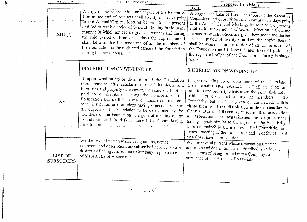| ALLICIC H                                  | Existing Provisions                                                                                                                                                                                                                                                                                                                                                                                                                                                                                                                                                                                                                                                                                                                                                                                            |                                                                                                                                                                                                                                                                                                                                                                                                                                                                                                                                                                                                                                                                                                                                                                                                                                                                                              |
|--------------------------------------------|----------------------------------------------------------------------------------------------------------------------------------------------------------------------------------------------------------------------------------------------------------------------------------------------------------------------------------------------------------------------------------------------------------------------------------------------------------------------------------------------------------------------------------------------------------------------------------------------------------------------------------------------------------------------------------------------------------------------------------------------------------------------------------------------------------------|----------------------------------------------------------------------------------------------------------------------------------------------------------------------------------------------------------------------------------------------------------------------------------------------------------------------------------------------------------------------------------------------------------------------------------------------------------------------------------------------------------------------------------------------------------------------------------------------------------------------------------------------------------------------------------------------------------------------------------------------------------------------------------------------------------------------------------------------------------------------------------------------|
|                                            |                                                                                                                                                                                                                                                                                                                                                                                                                                                                                                                                                                                                                                                                                                                                                                                                                | Proposed Provisions<br>Bank.                                                                                                                                                                                                                                                                                                                                                                                                                                                                                                                                                                                                                                                                                                                                                                                                                                                                 |
| XIII(7)<br>÷                               | A copy of the balance sheet and report of the Executive<br>Committee and of Auditors shall twenty one days prior<br>to the Annual General Meeting be sent to the persons<br>entitled to receive notice of General Meeting in the same<br>manner in which notices are given hereunder and during<br>the said period of twenty one days the copies thereof<br>shall be available for inspection of all the members of<br>the Foundation at the registered office of the Foundation<br>during business hours.                                                                                                                                                                                                                                                                                                     | A copy of the balance sheet and report of the Executive<br>Committee and of Auditors shall, twenty one days prior<br>to the Annual General Meeting, be sent to the persons<br>entitled to receive notice of General Meeting in the same<br>manner in which notices are given hereunder and during<br>the said period of twenty one days the copies thereof<br>shall be available for inspection of all the members of<br>the Foundation and interested members of public at<br>the registered office of the Foundation during business<br>hours.                                                                                                                                                                                                                                                                                                                                             |
|                                            | DISTRIBUTION ON WINDING UP.                                                                                                                                                                                                                                                                                                                                                                                                                                                                                                                                                                                                                                                                                                                                                                                    | DISTRIBUTION ON WINDING UP.                                                                                                                                                                                                                                                                                                                                                                                                                                                                                                                                                                                                                                                                                                                                                                                                                                                                  |
| XV.<br><b>LIST OF</b><br><b>SUBSCIBERS</b> | If upon winding up or dissolution of the Foundation<br>there remains after satisfaction of all its debts and<br>liabilities and property whatsoever, the same shall not be<br>paid to or distributed among the members of the<br>Foundation but shall be given or transferred to some<br>other institution or institutions having objects similar to<br>the objects of the Foundation to be determined by the<br>members of the Foundation in a general meeting of the<br>Foundation and in default thereof by Court having<br>jurisdiction. Education which we shall consider the set of the compa<br>We the several person whose designations, names,<br>addresses and descriptions are subscribed here below are<br>desirous of being formed into a Company in pursuance<br>of his Articles of Association. | If upon winding up or dissolution of the Foundation<br>there remains after satisfaction of all its debts and<br>liabilities and property whatsoever, the same shall not be<br>paid to or distributed among the members of the<br>Foundation but shall be given or transferred, within<br>three months of the dissolution under intimation to<br>Central Board of Revenue, to some other association<br>or associations or organization or organizations,<br>having objects similar to the objects of the Foundation,<br>to be determined by the members of the Foundation in a<br>general meeting of the Foundation and in default thereof<br>by a Court having jurisdiction.<br>We, the several persons whose designations, names,<br>addresses and descriptions are subscribed here below,<br>are desirous of being formed into a Company in<br>pursuance of this Articles of Association. |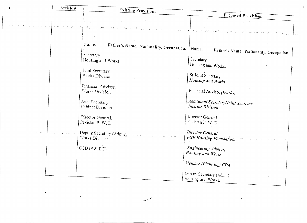| Article #                        | Existing Provisions                                    |                                                                                                                |
|----------------------------------|--------------------------------------------------------|----------------------------------------------------------------------------------------------------------------|
|                                  |                                                        | Proposed Provisions                                                                                            |
|                                  |                                                        |                                                                                                                |
|                                  |                                                        |                                                                                                                |
| on a send and all support of the |                                                        | a ka saba sa daga sa kalawar a sa sa a sa kara siyaarar ka san sa sa sa sa san san san a a sa ta ta ta sa sa s |
|                                  |                                                        |                                                                                                                |
|                                  |                                                        |                                                                                                                |
|                                  | Name.                                                  |                                                                                                                |
|                                  | Father's Name. Nationality. Occupation.                | Name.                                                                                                          |
|                                  |                                                        | Father's Name. Nationality. Occupation.                                                                        |
|                                  | Secretary                                              |                                                                                                                |
|                                  | Housing and Works.                                     | Secretary                                                                                                      |
|                                  |                                                        | Housing and Works.                                                                                             |
|                                  | Joint Secretary                                        |                                                                                                                |
|                                  | Works Division.                                        | Sr, Joint Secretary                                                                                            |
|                                  |                                                        | Housing and Works.                                                                                             |
|                                  |                                                        |                                                                                                                |
|                                  | Financial Advisor,                                     |                                                                                                                |
|                                  | Works Division.                                        | Financial Advisor (Works).                                                                                     |
|                                  |                                                        |                                                                                                                |
|                                  | Joint Secretary                                        | Additional Secretary/Joint Secretary                                                                           |
|                                  | Cabinet Division.                                      | Interior Division.                                                                                             |
|                                  |                                                        |                                                                                                                |
|                                  | Director General,                                      | Director General.                                                                                              |
|                                  | Pakistan P. W. D.                                      | Pakistan P. W. D.                                                                                              |
|                                  |                                                        |                                                                                                                |
|                                  |                                                        |                                                                                                                |
|                                  | Deputy Secretary (Admn), and the second control of the | Director General                                                                                               |
|                                  | Works Division.                                        | FGE Housing Foundation.<br>المتواصل أعطاء والمستنب                                                             |
|                                  |                                                        |                                                                                                                |
|                                  | CSD(P & EC)                                            | Engineering Advisor,                                                                                           |
|                                  |                                                        | Housing and Works.                                                                                             |
|                                  |                                                        |                                                                                                                |
|                                  |                                                        | Member (Planning) CDA.                                                                                         |
|                                  |                                                        |                                                                                                                |
|                                  |                                                        |                                                                                                                |
|                                  |                                                        | Deputy Secretary (Admn).                                                                                       |
|                                  |                                                        | Housing and Works.                                                                                             |

 $-1/$ 

 $\mathcal{L}(\mathcal{L}(\mathcal{L}))$  and  $\mathcal{L}(\mathcal{L}(\mathcal{L}))$  . The set of  $\mathcal{L}(\mathcal{L})$ 

 $\sim$   $\sim$ 

 $\mathcal{L}(\mathcal{L})$  and  $\mathcal{L}(\mathcal{L})$  .

 $\hat{A}^{\dagger}$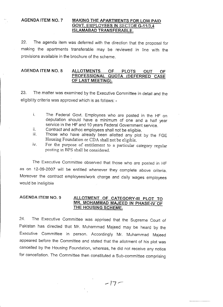## **AGENDA ITEM NO.7 MAKING THE APARTMENTS FOR LOW PAID GOVT.** EMPLOYEES **IN** SECTOR **G-11/3,4 ISLAMABAD TRANSFERABLE.**

22. The agenda item was deferred with the direction that the proposal for making the apartments transferable may be reviewed in line with the provisions available in the brochure of the scheme.

### **AGENDA ITEM NO.8 ALLOTMENTS OF PLOTS OUT OF PROFESSIONAL QUOTA (DEFERRED CASE OF LAST MEETING).**

23. The matter was examined by the Executive Committee in detail and the eligibility criteria was approved which is as follows: -

- i. The Federal Govt. Employees who are posted in the HF on deputation should have a minimum of one and a half year service in the HF and 10 years Federal Government service.
- ii. Contract and adhoc employees shall not be eligible.
- iii. Those who have already been allotted any plot by the FGE Housing Foundation or CDA shall not be eligible.
- iv. For the purpose of entitlement to a particular category regular posting in BPS shall be considered.

The Executive Committee observed that those who are posted in HF as on 12-09-2007 will be entitled whenever they complete above criteria. Moreover the contract employees/work charge and daily wages employees would be ineligible

#### **AGENDA ITEM NO.9 ALLOTMENT OF CATEGORY-III PLOT TO MR. MOHAMMAD MAJEED IN PHASE-IV OF THE HOUSING SCHEME.**

24. The Executive Committee was apprised that the Supreme Court of Pakistan has directed that Mr. Muhammad Majeed may be heard by the Executive Committee in person. Accordingly Mr. Muhammad Majeed appeared before the Committee and stated that the allotment of his plot was cancelled by the Housing Foundation, whereas, he did not receive any notice for cancellation. The Committee then constituted a Sub-committee comprising